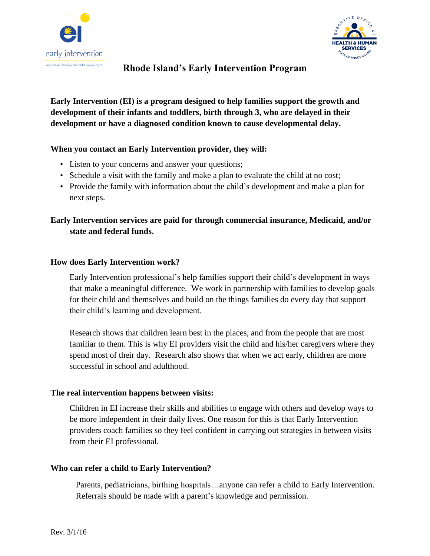



# **Rhode Island's Early Intervention Program**

## **Early Intervention (EI) is a program designed to help families support the growth and development of their infants and toddlers, birth through 3, who are delayed in their development or have a diagnosed condition known to cause developmental delay.**

### **When you contact an Early Intervention provider, they will:**

- Listen to your concerns and answer your questions;
- Schedule a visit with the family and make a plan to evaluate the child at no cost;
- Provide the family with information about the child's development and make a plan for next steps.

## **Early Intervention services are paid for through commercial insurance, Medicaid, and/or state and federal funds.**

### **How does Early Intervention work?**

Early Intervention professional's help families support their child's development in ways that make a meaningful difference. We work in partnership with families to develop goals for their child and themselves and build on the things families do every day that support their child's learning and development.

Research shows that children learn best in the places, and from the people that are most familiar to them. This is why EI providers visit the child and his/her caregivers where they spend most of their day. Research also shows that when we act early, children are more successful in school and adulthood.

### **The real intervention happens between visits:**

Children in EI increase their skills and abilities to engage with others and develop ways to be more independent in their daily lives. One reason for this is that Early Intervention providers coach families so they feel confident in carrying out strategies in between visits from their EI professional.

### **Who can refer a child to Early Intervention?**

Parents, pediatricians, birthing hospitals…anyone can refer a child to Early Intervention. Referrals should be made with a parent's knowledge and permission.